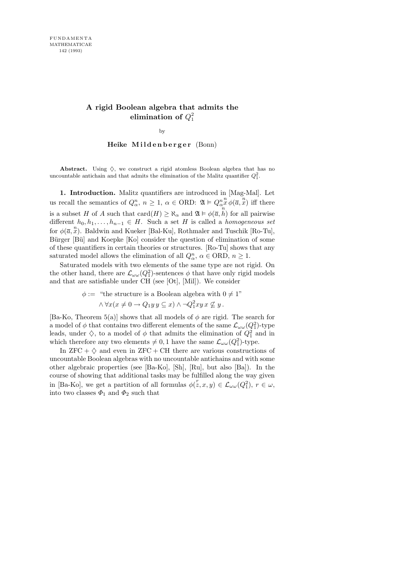#### **A rigid Boolean algebra that admits the**  $\bm{\mathrm{elimination}}\ \bm{\mathrm{of}}\ \mathnormal{Q}^{2}_{1}$ 1

by

Heike Mildenberger (Bonn)

**Abstract.** Using  $\Diamond$ , we construct a rigid atomless Boolean algebra that has no uncountable antichain and that admits the elimination of the Malitz quantifier  $Q_1^2$ .

1. Introduction. Malitz quantifiers are introduced in [Mag-Mal]. Let us recall the semantics of  $Q_{\alpha}^n$ ,  $n \geq 1$ ,  $\alpha \in \text{ORD}$ :  $\mathfrak{A} \models Q_{\alpha}^n$  $\sum_{n=1}^n \varphi(\overline{a}, \overline{x})$  iff there is a subset H of A such that  $\text{card}(H) \geq \aleph_{\alpha}$  and  $\mathfrak{A} \models \phi(\overline{a}, \overline{h})$  for all pairwise different  $h_0, h_1, \ldots, h_{n-1} \in H$ . Such a set H is called a homogeneous set for  $\phi(\overline{a}, \overline{x})$ . Baldwin and Kueker [Bal-Ku], Rothmaler and Tuschik [Ro-Tu], Bürger [Bü] and Koepke [Ko] consider the question of elimination of some of these quantifiers in certain theories or structures. [Ro-Tu] shows that any saturated model allows the elimination of all  $Q_{\alpha}^n$ ,  $\alpha \in \text{ORD}, n \geq 1$ .

Saturated models with two elements of the same type are not rigid. On the other hand, there are  $\mathcal{L}_{\omega\omega}(Q_1^2)$ -sentences  $\phi$  that have only rigid models and that are satisfiable under CH (see [Ot], [Mil]). We consider

> $\phi :=$  "the structure is a Boolean algebra with  $0 \neq 1$ "  $\wedge \forall x (x \neq 0 \rightarrow Q_1 y y \subseteq x) \wedge \neg Q_1^2 xy x \nsubseteq y$ .

[Ba-Ko, Theorem 5(a)] shows that all models of  $\phi$  are rigid. The search for a model of  $\phi$  that contains two different elements of the same  $\mathcal{L}_{\omega\omega}(Q_1^2)$ -type leads, under  $\diamondsuit$ , to a model of  $\phi$  that admits the elimination of  $Q_1^2$  and in which therefore any two elements  $\neq 0, 1$  have the same  $\mathcal{L}_{\omega\omega}(Q_1^2)$ -type.

In  $ZFC + \diamondsuit$  and even in  $ZFC + CH$  there are various constructions of uncountable Boolean algebras with no uncountable antichains and with some other algebraic properties (see [Ba-Ko], [Sh], [Ru], but also [Ba]). In the course of showing that additional tasks may be fulfilled along the way given in [Ba-Ko], we get a partition of all formulas  $\phi(\mathbf{z}, x, y) \in \mathcal{L}_{\omega \omega}(Q_1^2)$ ,  $r \in \omega$ , into two classes  $\Phi_1$  and  $\Phi_2$  such that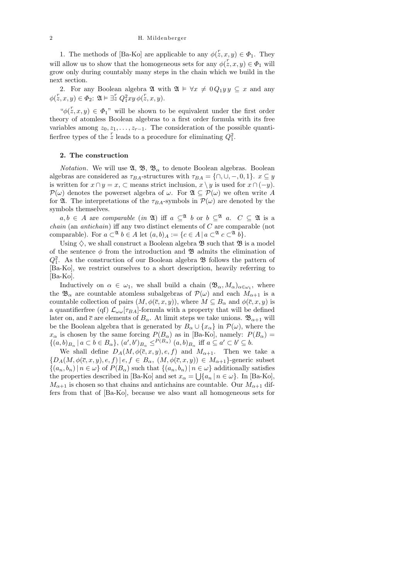1. The methods of [Ba-Ko] are applicable to any  $\phi(\bar{z}, x, y) \in \Phi_1$ . They will allow us to show that the homogeneous sets for any  $\phi(z, x, y) \in \Phi_1$  will grow only during countably many steps in the chain which we build in the next section.

2. For any Boolean algebra  $\mathfrak{A}$  with  $\mathfrak{A} \models \forall x \neq 0 Q_1 y y \subseteq x$  and any  $\phi(\overset{r}{z}, x, y) \in \Phi_2$ :  $\mathfrak{A} \models \exists \overset{r}{z} Q_1^2 xy \, \phi(\overset{r}{z}, x, y)$ .

" $\phi(\mathbf{x}, x, y) \in \Phi_1$ " will be shown to be equivalent under the first order theory of atomless Boolean algebras to a first order formula with its free variables among  $z_0, z_1, \ldots, z_{r-1}$ . The consideration of the possible quantifierfree types of the z leads to a procedure for eliminating  $Q_1^2$ .

### 2. The construction

*Notation.* We will use  $\mathfrak{A}, \mathfrak{B}, \mathfrak{B}_{\alpha}$  to denote Boolean algebras. Boolean algebras are considered as  $\tau_{BA}$ -structures with  $\tau_{BA} = \{\cap, \cup, -, 0, 1\}$ .  $x \subseteq y$ is written for  $x \cap y = x$ ,  $\subset$  means strict inclusion,  $x \setminus y$  is used for  $x \cap (-y)$ .  $\mathcal{P}(\omega)$  denotes the powerset algebra of  $\omega$ . For  $\mathfrak{A} \subseteq \mathcal{P}(\omega)$  we often write A for  $\mathfrak{A}$ . The interpretations of the  $\tau_{BA}$ -symbols in  $\mathcal{P}(\omega)$  are denoted by the symbols themselves.

 $a, b \in A$  are comparable (in  $\mathfrak{A}$ ) iff  $a \subseteq \mathfrak{A}$  b or  $b \subseteq \mathfrak{A}$  a.  $C \subseteq \mathfrak{A}$  is a chain (an antichain) iff any two distinct elements of C are comparable (not comparable). For  $a \subset^{\mathfrak{A}} b \in A$  let  $(a, b)_A := \{c \in A \mid a \subset^{\mathfrak{A}} c \subset^{\mathfrak{A}} b\}.$ 

Using  $\Diamond$ , we shall construct a Boolean algebra  $\mathfrak{B}$  such that  $\mathfrak{B}$  is a model of the sentence  $\phi$  from the introduction and **B** admits the elimination of  $Q_1^2$ . As the construction of our Boolean algebra  $\mathfrak B$  follows the pattern of [Ba-Ko], we restrict ourselves to a short description, heavily referring to  $|Ba-Ko|$ .

Inductively on  $\alpha \in \omega_1$ , we shall build a chain  $(\mathfrak{B}_{\alpha}, M_{\alpha})_{\alpha \in \omega_1}$ , where the  $\mathfrak{B}_{\alpha}$  are countable atomless subalgebras of  $\mathcal{P}(\omega)$  and each  $M_{\alpha+1}$  is a countable collection of pairs  $(M, \phi(\overline{c}, x, y))$ , where  $M \subseteq B_\alpha$  and  $\phi(\overline{c}, x, y)$  is a quantifierfree (qf)  $\mathcal{L}_{\omega\omega}[\tau_{BA}]$ -formula with a property that will be defined later on, and  $\bar{c}$  are elements of  $B_{\alpha}$ . At limit steps we take unions.  $\mathfrak{B}_{\alpha+1}$  will be the Boolean algebra that is generated by  $B_{\alpha} \cup \{x_{\alpha}\}\$ in  $\mathcal{P}(\omega)$ , where the  $x_{\alpha}$  is chosen by the same forcing  $P(B_{\alpha})$  as in [Ba-Ko], namely:  $P(B_{\alpha}) =$  $\{(a,b)_{B_\alpha} \mid a \subset b \in B_\alpha\}, (a',b')_{B_\alpha} \leq^{P(B_\alpha)} (a,b)_{B_\alpha} \text{ iff } a \subseteq a' \subset b' \subseteq b.$ 

We shall define  $D_A(M, \phi(\overline{c}, x, y), e, f)$  and  $M_{\alpha+1}$ . Then we take a  ${D_A(M, \phi(\overline{c}, x, y), e, f) | e, f \in B_\alpha, (M, \phi(\overline{c}, x, y)) \in M_{\alpha+1}}$ -generic subset  $\{(a_n, b_n) | n \in \omega\}$  of  $P(B_\alpha)$  such that  $\{(a_n, b_n) | n \in \omega\}$  additionally satisfies the properties described in [Ba-Ko] and set  $x_{\alpha} = \bigcup \{a_n | n \in \omega\}$ . In [Ba-Ko],  $M_{\alpha+1}$  is chosen so that chains and antichains are countable. Our  $M_{\alpha+1}$  differs from that of [Ba-Ko], because we also want all homogeneous sets for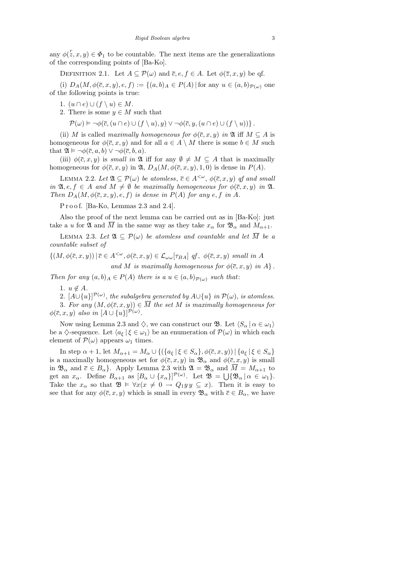any  $\phi(\mathbf{x}, x, y) \in \Phi_1$  to be countable. The next items are the generalizations of the corresponding points of [Ba-Ko].

DEFINITION 2.1. Let  $A \subseteq \mathcal{P}(\omega)$  and  $\overline{c}, e, f \in A$ . Let  $\phi(\overline{z}, x, y)$  be qf.

(i)  $D_A(M, \phi(\overline{c}, x, y), e, f) := \{(a, b)_{A} \in P(A) | \text{ for any } u \in (a, b)_{P(\omega)} \text{ one} \}$ of the following points is true:

- 1.  $(u \cap e) \cup (f \setminus u) \in M$ .
- 2. There is some  $y \in M$  such that

 $\mathcal{P}(\omega) \models \neg \phi(\overline{c},(u \cap e) \cup (f \setminus u),y) \vee \neg \phi(\overline{c},y,(u \cap e) \cup (f \setminus u))$ .

(ii) M is called maximally homogeneous for  $\phi(\bar{c}, x, y)$  in  $\mathfrak{A}$  iff  $M \subseteq A$  is homogeneous for  $\phi(\overline{c}, x, y)$  and for all  $a \in A \setminus M$  there is some  $b \in M$  such that  $\mathfrak{A} \models \neg \phi(\overline{c}, a, b) \vee \neg \phi(\overline{c}, b, a)$ .

(iii)  $\phi(\overline{c}, x, y)$  is small in  $\mathfrak{A}$  iff for any  $\emptyset \neq M \subseteq A$  that is maximally homogeneous for  $\phi(\overline{c}, x, y)$  in  $\mathfrak{A}, D_A(M, \phi(\overline{c}, x, y), 1, 0)$  is dense in  $P(A)$ .

LEMMA 2.2. Let  $\mathfrak{A} \subseteq \mathcal{P}(\omega)$  be atomless,  $\overline{c} \in A^{\leq \omega}$ ,  $\phi(\overline{c}, x, y)$  of and small in  $\mathfrak{A}, e, f \in A$  and  $M \neq \emptyset$  be maximally homogeneous for  $\phi(\overline{c}, x, y)$  in  $\mathfrak{A}$ . Then  $D_A(M, \phi(\overline{c}, x, y), e, f)$  is dense in  $P(A)$  for any e, f in A.

P r o o f. [Ba-Ko, Lemmas 2.3 and 2.4].

Also the proof of the next lemma can be carried out as in [Ba-Ko]: just take a u for  $\mathfrak A$  and  $\overline M$  in the same way as they take  $x_\alpha$  for  $\mathfrak B_\alpha$  and  $M_{\alpha+1}$ .

LEMMA 2.3. Let  $\mathfrak{A} \subseteq \mathcal{P}(\omega)$  be atomless and countable and let  $\overline{M}$  be a countable subset of

$$
\{(M, \phi(\overline{c}, x, y)) \mid \overline{c} \in A^{<\omega}, \phi(\overline{c}, x, y) \in \mathcal{L}_{\omega\omega}[\tau_{BA}] \text{ qf}, \phi(\overline{c}, x, y) \text{ small in } A \text{ and } M \text{ is maximally homogeneous for } \phi(\overline{c}, x, y) \text{ in } A \}.
$$

Then for any  $(a, b)_A \in P(A)$  there is a  $u \in (a, b)_{P(\omega)}$  such that:

1.  $u \notin A$ .

2.  $[A\cup\{u\}]^{\mathcal{P}(\omega)}$ , the subalgebra generated by  $A\cup\{u\}$  in  $\mathcal{P}(\omega)$ , is atomless. 3. For any  $(M, \phi(\overline{c}, x, y)) \in \overline{M}$  the set M is maximally homogeneous for  $\phi(\overline{c}, x, y)$  also in  $[A \cup \{u\}]^{\mathcal{P}(\omega)}$ .

Now using Lemma 2.3 and  $\Diamond$ , we can construct our **B**. Let  $\langle S_\alpha | \alpha \in \omega_1 \rangle$ be a  $\Diamond$ -sequence. Let  $\langle a_{\xi} | \xi \in \omega_1 \rangle$  be an enumeration of  $\mathcal{P}(\omega)$  in which each element of  $\mathcal{P}(\omega)$  appears  $\omega_1$  times.

In step  $\alpha + 1$ , let  $M_{\alpha+1} = M_{\alpha} \cup \{ (\{a_{\xi} \mid \xi \in S_{\alpha} \}, \phi(\overline{c}, x, y)) \mid \{a_{\xi} \mid \xi \in S_{\alpha} \}$ is a maximally homogeneous set for  $\phi(\bar{c}, x, y)$  in  $\mathfrak{B}_{\alpha}$  and  $\phi(\bar{c}, x, y)$  is small in  $\mathfrak{B}_{\alpha}$  and  $\bar{c} \in B_{\alpha}$ . Apply Lemma 2.3 with  $\mathfrak{A} = \mathfrak{B}_{\alpha}$  and  $\bar{M} = M_{\alpha+1}$  to get an  $x_{\alpha}$ . Define  $B_{\alpha+1}$  as  $[B_{\alpha} \cup \{x_{\alpha}\}]^{\mathcal{P}(\omega)}$ . Let  $\mathfrak{B} = \bigcup \{\mathfrak{B}_{\alpha} | \alpha \in \omega_1\}.$ Take the  $x_{\alpha}$  so that  $\mathfrak{B} \models \forall x (x \neq 0 \rightarrow Q_1 y y \subseteq x)$ . Then it is easy to see that for any  $\phi(\bar{c}, x, y)$  which is small in every  $\mathfrak{B}_{\alpha}$  with  $\bar{c} \in B_{\alpha}$ , we have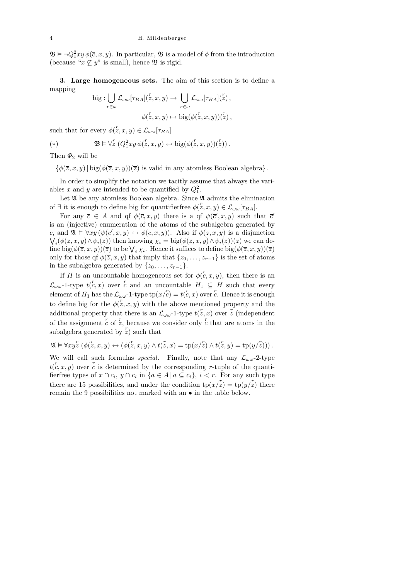$\mathfrak{B} \models \neg Q_1^2 xy \, \phi(\overline{c}, x, y)$ . In particular,  $\mathfrak{B}$  is a model of  $\phi$  from the introduction (because " $x \not\subseteq y$ " is small), hence **B** is rigid.

3. Large homogeneous sets. The aim of this section is to define a mapping

big: 
$$
\bigcup_{r \in \omega} \mathcal{L}_{\omega \omega}[\tau_{BA}](z, x, y) \to \bigcup_{r \in \omega} \mathcal{L}_{\omega \omega}[\tau_{BA}](z),
$$

$$
\phi(z, x, y) \mapsto \text{big}(\phi(z, x, y))(z),
$$

such that for every  $\phi(z, x, y) \in \mathcal{L}_{\omega \omega}[\tau_{BA}]$ 

(\*) 
$$
\mathfrak{B} \vDash \forall z \ (Q_1^2 xy \, \phi(z, x, y) \leftrightarrow \text{big}(\phi(z, x, y))(z)).
$$

Then  $\Phi_2$  will be

 $\{\phi(\overline{z},x,y) | \text{big}(\phi(\overline{z},x,y))(\overline{z})$  is valid in any atomless Boolean algebra.

In order to simplify the notation we tacitly assume that always the variables x and y are intended to be quantified by  $Q_1^2$ .

Let  $\mathfrak A$  be any atomless Boolean algebra. Since  $\mathfrak A$  admits the elimination of  $\exists$  it is enough to define big for quantifierfree  $\phi(z, x, y) \in \mathcal{L}_{\omega \omega}[\tau_{BA}]$ .

For any  $\bar{c} \in A$  and qf  $\phi(\bar{c}, x, y)$  there is a qf  $\psi(\bar{c}', x, y)$  such that  $\bar{c}'$ is an (injective) enumeration of the atoms of the subalgebra generated by  $\overline{c}$ , and  $\mathfrak{A} \models \forall xy (\psi(\overline{c}', x, y) \leftrightarrow \phi(\overline{c}, x, y))$ . Also if  $\phi(\overline{z}, x, y)$  is a disjunction  $\bigvee_i (\phi(\overline{z},x,y) \wedge \psi_i(\overline{z}))$  then knowing  $\chi_i = \text{big}(\phi(\overline{z},x,y) \wedge \psi_i(\overline{z}))(\overline{z})$  we can define  $\text{big}(\phi(\overline{z},x,y))(\overline{z})$  to be  $\bigvee_i \chi_i$ . Hence it suffices to define  $\text{big}(\phi(\overline{z},x,y))(\overline{z})$ only for those qf  $\phi(\overline{z}, x, y)$  that imply that  $\{z_0, \ldots, z_{r-1}\}$  is the set of atoms in the subalgebra generated by  $\{z_0, \ldots, z_{r-1}\}.$ 

If H is an uncountable homogeneous set for  $\phi(c, x, y)$ , then there is an  $\mathcal{L}_{\omega\omega}$ -1-type  $t(\mathcal{C},x)$  over  $\mathcal{C}$  and an uncountable  $H_1 \subseteq H$  such that every element of  $H_1$  has the  $\mathcal{L}_{\omega \omega}$ -1-type  $\text{tp}(x/\mathring{c}) = t(\mathring{c}, x)$  over  $\mathring{c}$ . Hence it is enough to define big for the  $\phi(z, x, y)$  with the above mentioned property and the additional property that there is an  $\mathcal{L}_{\omega \omega}$ -1-type  $t(z, x)$  over z (independent of the assignment  $\overline{c}$  of  $\overline{z}$ , because we consider only  $\overline{c}$  that are atoms in the subalgebra generated by  $\overline{z}$ ) such that

$$
\mathfrak{A}\vDash \forall xy\ddot{z}\,\left(\phi(\ddot{z},x,y)\leftrightarrow (\phi(\ddot{z},x,y)\wedge t(\ddot{z},x)=\operatorname{tp}(x/\ddot{z})\wedge t(\ddot{z},y)=\operatorname{tp}(y/\ddot{z}))\right).
$$

We will call such formulas *special*. Finally, note that any  $\mathcal{L}_{\omega\omega}$ -2-type  $t(\vec{c}, x, y)$  over  $\vec{c}$  is determined by the corresponding r-tuple of the quantifierfree types of  $x \cap c_i$ ,  $y \cap c_i$  in  $\{a \in A \mid a \subseteq c_i\}$ ,  $i < r$ . For any such type there are 15 possibilities, and under the condition  $\text{tp}(x/\bar{z}) = \text{tp}(y/\bar{z})$  there remain the 9 possibilities not marked with an • in the table below.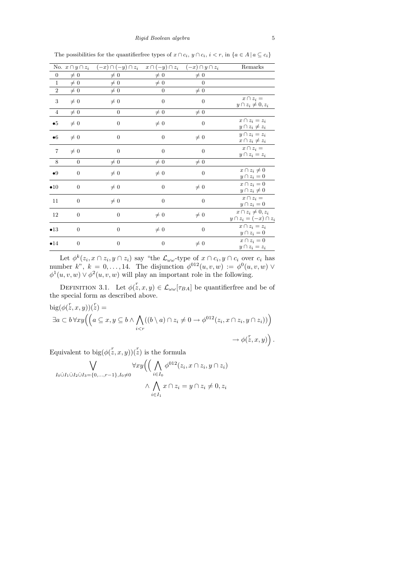*Rigid Boolean algebra* 5

|                | No. $x \cap y \cap z_i$ | $(-x)\cap(-y)\cap z_i$ | $x \cap (-y) \cap z_i$ | $(-x) \cap y \cap z_i$ | Remarks                                                  |
|----------------|-------------------------|------------------------|------------------------|------------------------|----------------------------------------------------------|
| $\overline{0}$ | $\neq 0$                | $\neq 0$               | $\neq 0$               | $\neq 0$               |                                                          |
| $\mathbf{1}$   | $\neq 0$                | $\neq 0$               | $\neq 0$               | $\Omega$               |                                                          |
| $\,2$          | $\neq 0$                | $\neq 0$               | $\overline{0}$         | $\neq 0$               |                                                          |
| $\overline{3}$ | $\neq 0$                | $\neq 0$               | $\theta$               | $\overline{0}$         | $x \cap z_i =$<br>$y \cap z_i \neq 0, z_i$               |
| $\overline{4}$ | $\neq 0$                | $\theta$               | $\neq 0$               | $\neq 0$               |                                                          |
| $\bullet 5$    | $\neq 0$                | $\overline{0}$         | $\neq 0$               | $\overline{0}$         | $x \cap z_i = z_i$<br>$y \cap z_i \neq z_i$              |
| $\bullet 6$    | $\neq 0$                | $\theta$               | $\overline{0}$         | $\neq 0$               | $y \cap z_i = z_i$<br>$x \cap z_i \neq z_i$              |
| $\overline{7}$ | $\neq 0$                | $\overline{0}$         | $\overline{0}$         | $\overline{0}$         | $x \cap z_i =$<br>$y\cap z_i=z_i$                        |
| $8\,$          | $\theta$                | $\neq 0$               | $\neq 0$               | $\neq 0$               |                                                          |
| •9             | $\theta$                | $\neq 0$               | $\neq 0$               | $\theta$               | $x \cap z_i \neq 0$<br>$y \cap z_i = 0$                  |
| $\bullet$ 10   | $\overline{0}$          | $\neq 0$               | $\overline{0}$         | $\neq 0$               | $x \cap z_i = 0$<br>$y \cap z_i \neq 0$                  |
| 11             | $\boldsymbol{0}$        | $\neq 0$               | $\overline{0}$         | $\overline{0}$         | $x \cap z_i =$<br>$y \cap z_i = 0$                       |
| 12             | $\overline{0}$          | $\overline{0}$         | $\neq 0$               | $\neq 0$               | $x \cap z_i \neq 0, z_i$<br>$y \cap z_i = (-x) \cap z_i$ |
| •13            | $\overline{0}$          | $\overline{0}$         | $\neq 0$               | $\theta$               | $x \cap z_i = z_i$<br>$y \cap z_i = 0$                   |
| •14            | $\overline{0}$          | $\overline{0}$         | $\overline{0}$         | $\neq 0$               | $x \cap z_i = 0$<br>$y \cap z_i = z_i$                   |

The possibilities for the quantifier free types of  $x \cap c_i$ ,  $y \cap c_i$ ,  $i < r$ , in  $\{a \in A \mid a \subseteq c_i\}$ 

Let  $\phi^k(z_i, x \cap z_i, y \cap z_i)$  say "the  $\mathcal{L}_{\omega \omega}$ -type of  $x \cap c_i, y \cap c_i$  over  $c_i$  has number k",  $k = 0, \ldots, 14$ . The disjunction  $\phi^{012}(u, v, w) := \phi^0(u, v, w) \vee$  $\phi^1(u, v, w) \vee \phi^2(u, v, w)$  will play an important role in the following.

DEFINITION 3.1. Let  $\phi(z, x, y) \in \mathcal{L}_{\omega \omega}[\tau_{BA}]$  be quantifierfree and be of the special form as described above.

$$
big(\phi(z, x, y))(z) =
$$
  
\n
$$
\exists a \subset b \,\forall xy \Big( \Big( a \subseteq x, y \subseteq b \land \bigwedge_{i < r} ((b \setminus a) \cap z_i \neq 0 \to \phi^{012}(z_i, x \cap z_i, y \cap z_i)) \Big) \to \phi(\bar{z}, x, y) \Big).
$$

Equivalent to  $big(\phi(z, x, y))(z)$  is the formula

$$
\bigvee_{I_0 \cup I_1 \cup I_2 \cup I_3 = \{0, \dots, r-1\}, I_0 \neq 0} \forall xy \Big( \Big( \bigwedge_{i \in I_0} \phi^{012}(z_i, x \cap z_i, y \cap z_i) \\ \wedge \bigwedge_{i \in I_1} x \cap z_i = y \cap z_i \neq 0, z_i
$$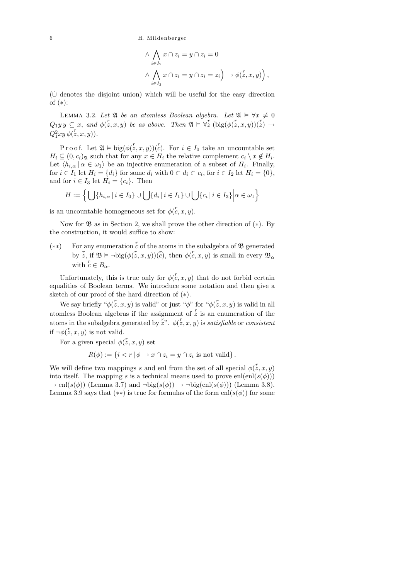6 H. Mildenberger

$$
\wedge \bigwedge_{i \in I_2} x \cap z_i = y \cap z_i = 0
$$
  

$$
\wedge \bigwedge_{i \in I_3} x \cap z_i = y \cap z_i = z_i \rightarrow \phi(\tilde{z}, x, y) \bigg),
$$

 $(\dot{\cup})$  denotes the disjoint union) which will be useful for the easy direction of (∗):

LEMMA 3.2. Let  $\mathfrak A$  be an atomless Boolean algebra. Let  $\mathfrak A \vDash \forall x \neq 0$  $Q_1y\,y \subseteq x$ , and  $\phi(\mathring{z},x,y)$  be as above. Then  $\mathfrak{A} \vDash \forall \mathring{z}$  (big( $\phi(\mathring{z},x,y)(\mathring{z}) \to$  $Q_1^2 xy \, \phi(\overset{r}{z},x,y)$ ).

Proof. Let  $\mathfrak{A} \models \text{big}(\phi(z, x, y))(c^r)$ . For  $i \in I_0$  take an uncountable set  $H_i \subseteq (0, c_i)$ <sub>24</sub> such that for any  $x \in H_i$  the relative complement  $c_i \setminus x \notin H_i$ . Let  $\langle h_{i,\alpha} | \alpha \in \omega_1 \rangle$  be an injective enumeration of a subset of  $H_i$ . Finally, for  $i \in I_1$  let  $H_i = \{d_i\}$  for some  $d_i$  with  $0 \subset d_i \subset c_i$ , for  $i \in I_2$  let  $H_i = \{0\},$ and for  $i \in I_3$  let  $H_i = \{c_i\}$ . Then

$$
H := \left\{ \bigcup \{ h_{i,\alpha} \mid i \in I_0 \} \cup \bigcup \{ d_i \mid i \in I_1 \} \cup \bigcup \{ c_i \mid i \in I_3 \} \middle| \alpha \in \omega_1 \right\}
$$

is an uncountable homogeneous set for  $\phi(\mathring{c}, x, y)$ .

Now for  $\mathfrak{B}$  as in Section 2, we shall prove the other direction of  $(*)$ . By the construction, it would suffice to show:

(\*\*) For any enumeration  $\overline{c}$  of the atoms in the subalgebra of  $\mathfrak{B}$  generated by  $z$ , if  $\mathfrak{B} \models \neg \text{big}(\phi(z, x, y))(z)$ , then  $\phi(z, x, y)$  is small in every  $\mathfrak{B}_{\alpha}$ with  $c \in B_{\alpha}$ .

Unfortunately, this is true only for  $\phi(\mathcal{C}, x, y)$  that do not forbid certain equalities of Boolean terms. We introduce some notation and then give a sketch of our proof of the hard direction of  $(*).$ 

We say briefly " $\phi(z, x, y)$  is valid" or just " $\phi$ " for " $\phi(z, x, y)$  is valid in all atomless Boolean algebras if the assignment of  $\overline{z}$  is an enumeration of the atoms in the subalgebra generated by  $\bar{z}^n$ .  $\phi(\bar{z}, x, y)$  is satisfiable or consistent if  $\neg \phi(\overset{r}{z}, x, y)$  is not valid.

For a given special  $\phi(\overset{r}{z}, x, y)$  set

$$
R(\phi) := \{ i < r \mid \phi \to x \cap z_i = y \cap z_i \text{ is not valid} \}.
$$

We will define two mappings s and enl from the set of all special  $\phi(z, x, y)$ into itself. The mapping s is a technical means used to prove enl(enl(s( $\phi$ )))  $\rightarrow$  enl(s( $\phi$ )) (Lemma 3.7) and  $\neg big(s(\phi)) \rightarrow \neg big(enl(s(\phi)))$  (Lemma 3.8). Lemma 3.9 says that  $(**)$  is true for formulas of the form enl $(s(\phi))$  for some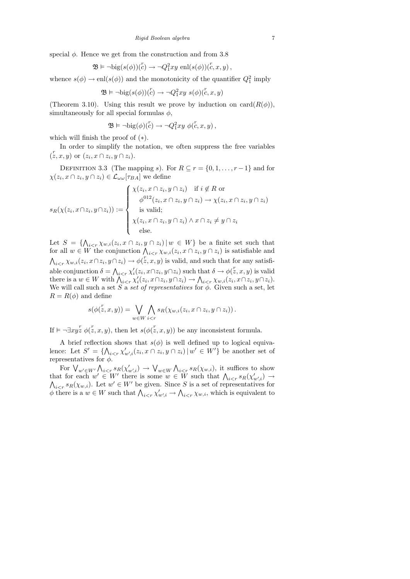special  $\phi$ . Hence we get from the construction and from 3.8

$$
\mathfrak{B} \vDash \neg \text{big}(s(\phi))(c) \to \neg Q_1^2 xy \text{ enl}(s(\phi))(c, x, y),
$$

whence  $s(\phi) \to \text{enl}(s(\phi))$  and the monotonicity of the quantifier  $Q_1^2$  imply

$$
\mathfrak{B}\vDash \neg\text{big}(s(\phi))(c^r) \to \neg Q_1^2xy \ s(\phi)(c,x,y)
$$

(Theorem 3.10). Using this result we prove by induction on  $card(R(\phi))$ , simultaneously for all special formulas  $\phi$ ,

$$
\mathfrak{B}\vDash \neg\text{big}(\phi)(\overset{r}{c})\rightarrow \neg Q_1^2xy\ \phi(\overset{r}{c},x,y)\,,
$$

which will finish the proof of (∗).

In order to simplify the notation, we often suppress the free variables  $(z, x, y)$  or  $(z_i, x \cap \overline{z_i}, y \cap z_i)$ .

DEFINITION 3.3 (The mapping s). For  $R \subseteq r = \{0, 1, \ldots, r-1\}$  and for  $\chi(z_i, x \cap z_i, y \cap z_i) \in \mathcal{L}_{\omega \omega}[\tau_{BA}]$  we define

$$
s_R(\chi(z_i, x \cap z_i, y \cap z_i)) := \begin{cases} \chi(z_i, x \cap z_i, y \cap z_i) & \text{if } i \notin R \text{ or} \\ \phi^{012}(z_i, x \cap z_i, y \cap z_i) \to \chi(z_i, x \cap z_i, y \cap z_i) \\ \text{is valid;} \\ \chi(z_i, x \cap z_i, y \cap z_i) \land x \cap z_i \neq y \cap z_i \\ \text{else.} \end{cases}
$$

Let  $S = \{\bigwedge_{i \leq r} \chi_{w,i}(z_i, x \cap z_i, y \cap z_i) | w \in W\}$  be a finite set such that for all  $w \in W$  the conjunction  $\bigwedge_{i \leq r} \chi_{w,i}(z_i, x \cap z_i, y \cap z_i)$  is satisfiable and  $\bigwedge_{i \leq r} \chi_{w,i}(z_i, x \cap z_i, y \cap z_i) \to \phi(\overline{z}, x, y)$  is valid, and such that for any satisfiable conjunction  $\delta = \bigwedge_{i \leq r} \chi'_i(z_i, x \cap z_i, y \cap z_i)$  such that  $\delta \to \phi(\zeta, x, y)$  is valid there is a  $w \in W$  with  $\bigwedge_{i \leq r} \chi'_i(z_i, x \cap z_i, y \cap z_i) \to \bigwedge_{i \leq r} \chi_{w,i}(z_i, x \cap z_i, y \cap z_i).$ We will call such a set S a set of representatives for  $\phi$ . Given such a set, let  $R = R(\phi)$  and define

$$
s(\phi(\overset{r}{z}, x, y)) = \bigvee_{w \in W} \bigwedge_{i < r} s_R(\chi_{w,i}(z_i, x \cap z_i, y \cap z_i))\,.
$$

If  $\models \neg \exists xy z \phi(z, x, y)$ , then let  $s(\phi(z, x, y))$  be any inconsistent formula.

A brief reflection shows that  $s(\phi)$  is well defined up to logical equivalence: Let  $S' = \{ \bigwedge_{i \leq r} \chi'_{w',i}(z_i, x \cap z_i, y \cap z_i) \, | \, w' \in W' \}$  be another set of representatives for  $\phi$ .

For  $\bigvee_{w'\in W'}\bigwedge_{i\leq r} s_R(\chi'_{w',i}) \to \bigvee_{w\in W}\bigwedge_{i\leq r} s_R(\chi_{w,i}),$  it suffices to show that for each  $w' \in W'$  there is some  $w \in W$  such that  $\bigwedge_{i \leq r} s_R(\chi'_{w',i}) \to$  $\bigwedge_{i \leq r} s_R(\chi_{w,i})$ . Let  $w' \in W'$  be given. Since S is a set of representatives for  $\phi$  there is a  $w \in W$  such that  $\bigwedge_{i \leq r} \chi'_{w',i} \to \bigwedge_{i \leq r} \chi_{w,i}$ , which is equivalent to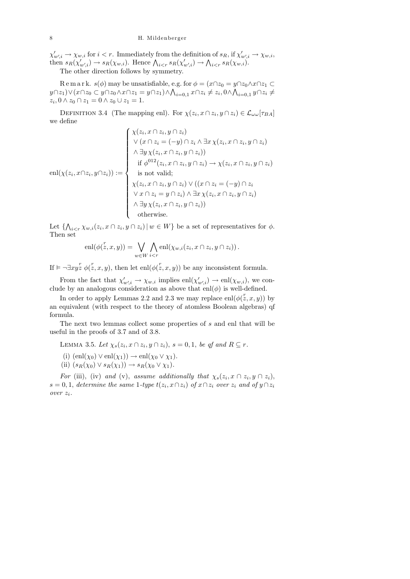## 8 H. Mildenberger

 $\chi'_{w',i} \to \chi_{w,i}$  for  $i < r$ . Immediately from the definition of  $s_R$ , if  $\chi'_{w',i} \to \chi_{w,i}$ , then  $s_R(\chi'_{w',i}) \to s_R(\chi_{w,i})$ . Hence  $\bigwedge_{i \leq r} s_R(\chi'_{w',i}) \to \bigwedge_{i \leq r} s_R(\chi_{w,i})$ .

The other direction follows by symmetry.

R e m a r k.  $s(\phi)$  may be unsatisfiable, e.g. for  $\phi = (x \cap z_0 = y \cap z_0 \wedge x \cap z_1 \subset$  $y\cap z_1)\vee(x\cap z_0\subset y\cap z_0\wedge x\cap z_1=y\cap z_1)\wedge\bigwedge_{i=0,1}x\cap z_i\neq z_i, 0\wedge\bigwedge_{i=0,1}y\cap z_i\neq z_i$  $z_i, 0 \wedge z_0 \cap z_1 = 0 \wedge z_0 \cup z_1 = 1.$ 

DEFINITION 3.4 (The mapping enl). For  $\chi(z_i, x \cap z_i, y \cap z_i) \in \mathcal{L}_{\omega \omega}[\tau_{BA}]$ we define

$$
\text{enl}(\chi(z_i, x \cap z_i, y \cap z_i)) := \begin{cases} \chi(z_i, x \cap z_i, y \cap z_i) \\ \forall (x \cap z_i = (-y) \cap z_i \land \exists x \chi(z_i, x \cap z_i, y \cap z_i) \\ \land \exists y \chi(z_i, x \cap z_i, y \cap z_i)) \\ \text{if } \phi^{012}(z_i, x \cap z_i, y \cap z_i) \rightarrow \chi(z_i, x \cap z_i, y \cap z_i) \\ \text{is not valid;} \\ \chi(z_i, x \cap z_i, y \cap z_i) \lor ((x \cap z_i = (-y) \cap z_i \\ \forall x \cap z_i = y \cap z_i) \land \exists x \chi(z_i, x \cap z_i, y \cap z_i) \\ \land \exists y \chi(z_i, x \cap z_i, y \cap z_i)) \\ \text{otherwise.} \end{cases}
$$

Let  $\{\bigwedge_{i \leq r} \chi_{w,i}(z_i, x \cap z_i, y \cap z_i) | w \in W\}$  be a set of representatives for  $\phi$ . Then set

$$
\mathrm{enl}(\phi(\overset{r}{z}, x, y)) = \bigvee_{w \in W} \bigwedge_{i < r} \mathrm{enl}(\chi_{w,i}(z_i, x \cap z_i, y \cap z_i))\,.
$$

If  $\models \neg \exists xy z^r \phi(z, x, y)$ , then let enl $(\phi(z, x, y))$  be any inconsistent formula.

From the fact that  $\chi'_{w',i} \to \chi_{w,i}$  implies  $\text{enl}(\chi'_{w',i}) \to \text{enl}(\chi_{w,i}),$  we conclude by an analogous consideration as above that enl $(\phi)$  is well-defined.

In order to apply Lemmas 2.2 and 2.3 we may replace  $\text{enl}(\phi(z, x, y))$  by an equivalent (with respect to the theory of atomless Boolean algebras) qf formula.

The next two lemmas collect some properties of s and enl that will be useful in the proofs of 3.7 and of 3.8.

LEMMA 3.5. Let  $\chi_s(z_i, x \cap z_i, y \cap z_i)$ ,  $s = 0, 1$ , be af and  $R \subseteq r$ .

(i)  $(\text{enl}(\chi_0) \vee \text{enl}(\chi_1)) \rightarrow \text{enl}(\chi_0 \vee \chi_1).$ 

(ii)  $(s_R(\chi_0) \vee s_R(\chi_1)) \rightarrow s_R(\chi_0 \vee \chi_1).$ 

For (iii), (iv) and (v), assume additionally that  $\chi_s(z_i, x \cap z_i, y \cap z_i)$ ,  $s = 0, 1$ , determine the same 1-type  $t(z_i, x \cap z_i)$  of  $x \cap z_i$  over  $z_i$  and of  $y \cap z_i$ over z<sup>i</sup> .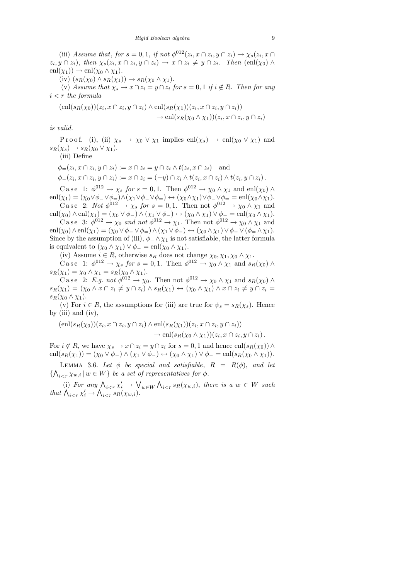(iii) Assume that, for  $s = 0, 1$ , if not  $\phi^{012}(z_i, x \cap z_i, y \cap z_i) \to \chi_s(z_i, x \cap z_i)$  $(z_i, y \cap z_i)$ , then  $\chi_s(z_i, x \cap z_i, y \cap z_i) \to x \cap z_i \neq y \cap z_i$ . Then  $(\text{enl}(\chi_0) \land$  $\text{enl}(\chi_1) \rightarrow \text{enl}(\chi_0 \wedge \chi_1).$ 

(iv)  $(s_R(\chi_0) \wedge s_R(\chi_1)) \rightarrow s_R(\chi_0 \wedge \chi_1).$ 

(v) Assume that  $\chi_s \to x \cap z_i = y \cap z_i$  for  $s = 0, 1$  if  $i \notin R$ . Then for any  $i < r$  the formula

 $(\text{enl}(s_R(\chi_0))(z_i, x \cap z_i, y \cap z_i) \wedge \text{enl}(s_R(\chi_1))(z_i, x \cap z_i, y \cap z_i))$  $\to \text{enl}(s_R(\chi_0 \wedge \chi_1))(z_i, x \cap z_i, y \cap z_i)$ 

is valid.

P r o o f. (i), (ii)  $\chi_s \to \chi_0 \vee \chi_1$  implies enl $(\chi_s) \to \text{enl}(\chi_0 \vee \chi_1)$  and  $s_R(\chi_s) \to s_R(\chi_0 \vee \chi_1).$ 

(iii) Define

 $\phi_{=}(z_i, x \cap z_i, y \cap z_i) := x \cap z_i = y \cap z_i \wedge t(z_i, x \cap z_i)$  and  $\phi_-(z_i, x \cap z_i, y \cap z_i) := x \cap z_i = (-y) \cap z_i \wedge t(z_i, x \cap z_i) \wedge t(z_i, y \cap z_i).$ 

C a se 1:  $\phi^{012} \to \chi_s$  for  $s = 0, 1$ . Then  $\phi^{012} \to \chi_0 \wedge \chi_1$  and enl $(\chi_0) \wedge$  $\text{enl}(\chi_1) = (\chi_0 \lor \phi_-\lor \phi_=) \land (\chi_1 \lor \phi_-\lor \phi_=) \leftrightarrow (\chi_0 \land \chi_1) \lor \phi_-\lor \phi_= = \text{enl}(\chi_0 \land \chi_1).$ 

C a se 2: Not  $\phi^{012} \to \chi_s$  for  $s = 0, 1$ . Then not  $\phi^{012} \to \chi_0 \wedge \chi_1$  and  $\text{enl}(\chi_0) \wedge \text{enl}(\chi_1) = (\chi_0 \vee \phi_-) \wedge (\chi_1 \vee \phi_-) \leftrightarrow (\chi_0 \wedge \chi_1) \vee \phi_- = \text{enl}(\chi_0 \wedge \chi_1).$ 

C a se 3:  $\phi^{012} \to \chi_0$  and not  $\phi^{012} \to \chi_1$ . Then not  $\phi^{012} \to \chi_0 \wedge \chi_1$  and  $enl(\chi_0) \wedge enl(\chi_1) = (\chi_0 \vee \phi_-\vee \phi_+) \wedge (\chi_1 \vee \phi_-) \leftrightarrow (\chi_0 \wedge \chi_1) \vee \phi_-\vee (\phi_+ \wedge \chi_1).$ Since by the assumption of (iii),  $\phi = \Delta \chi_1$  is not satisfiable, the latter formula is equivalent to  $(\chi_0 \wedge \chi_1) \vee \phi_- = \text{enl}(\chi_0 \wedge \chi_1).$ 

(iv) Assume  $i \in R$ , otherwise  $s_R$  does not change  $\chi_0, \chi_1, \chi_0 \wedge \chi_1$ .

C a s e 1:  $\phi^{012} \to \chi_s$  for  $s = 0, 1$ . Then  $\phi^{012} \to \chi_0 \wedge \chi_1$  and  $s_R(\chi_0) \wedge$  $s_R(\chi_1) = \chi_0 \wedge \chi_1 = s_R(\chi_0 \wedge \chi_1).$ 

C a s e 2: E.g. not  $\phi^{012} \to \chi_0$ . Then not  $\phi^{012} \to \chi_0 \wedge \chi_1$  and  $s_R(\chi_0) \wedge$  $s_R(\chi_1) = (\chi_0 \wedge x \cap z_i \neq y \cap z_i) \wedge s_R(\chi_1) \leftrightarrow (\chi_0 \wedge \chi_1) \wedge x \cap z_i \neq y \cap z_i =$  $s_R(\chi_0 \wedge \chi_1).$ 

(v) For  $i \in R$ , the assumptions for (iii) are true for  $\psi_s = s_R(\chi_s)$ . Hence by  $(iii)$  and  $(iv)$ ,

 $(\text{enl}(s_R(\chi_0))(z_i, x \cap z_i, y \cap z_i) \wedge \text{enl}(s_R(\chi_1))(z_i, x \cap z_i, y \cap z_i))$  $\rightarrow$  enl $(s_R(\chi_0 \wedge \chi_1))(z_i, x \cap z_i, y \cap z_i).$ 

For  $i \notin R$ , we have  $\chi_s \to x \cap z_i = y \cap z_i$  for  $s = 0, 1$  and hence  $\text{enl}(s_R(\chi_0)) \wedge$  $\text{enl}(s_R(\chi_1)) = (\chi_0 \vee \phi_-) \wedge (\chi_1 \vee \phi_-) \leftrightarrow (\chi_0 \wedge \chi_1) \vee \phi_- = \text{enl}(s_R(\chi_0 \wedge \chi_1)).$ 

LEMMA 3.6. Let  $\phi$  be special and satisfiable,  $R = R(\phi)$ , and let  $\{\bigwedge_{i \leq r} \chi_{w,i} \mid w \in W\}$  be a set of representatives for  $\phi$ .

(i) For any  $\bigwedge_{i \leq r} \chi'_i \to \bigvee_{w \in W} \bigwedge_{i \leq r} s_R(\chi_{w,i}),$  there is a  $w \in W$  such that  $\bigwedge_{i \leq r} \chi'_i \to \bigwedge_{i \leq r} s_R(\chi_{w,i}).$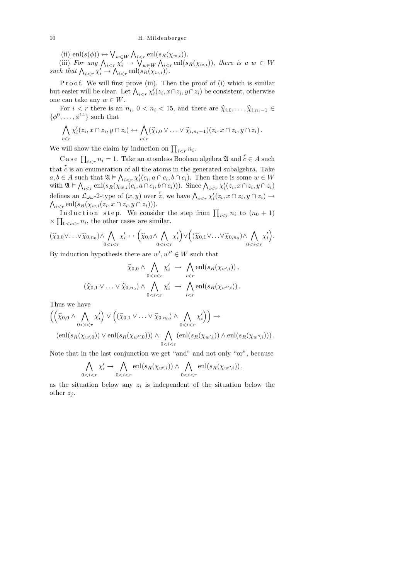(ii) enl $(s(\phi)) \leftrightarrow \bigvee_{w \in W} \bigwedge_{i \leq r} \text{enl}(s_R(\chi_{w,i})).$ 

(iii) For any  $\bigwedge_{i \leq r} \chi_i^{\overline{t}} \to \bigvee_{w \in W} \bigwedge_{i \leq r} \text{enl}(s_R(\chi_{w,i}))$ , there is a  $w \in W$ such that  $\bigwedge_{i \leq r} \chi'_i \to \bigwedge_{i \leq r} \text{enl}(s_R(\chi_{w,i}))$ .

Proof. We will first prove (iii). Then the proof of (i) which is similar but easier will be clear. Let  $\bigwedge_{i \leq r} \chi'_i(z_i, x \cap z_i, y \cap z_i)$  be consistent, otherwise one can take any  $w \in W$ .

For  $i < r$  there is an  $n_i$ ,  $0 < n_i < 15$ , and there are  $\hat{\chi}_{i,0}, \ldots, \hat{\chi}_{i,n_i-1} \in \mathbb{R}^{14}$ , such that  $\{\phi^0,\ldots,\phi^{14}\}\$  such that

$$
\bigwedge_{i < r} \chi'_i(z_i, x \cap z_i, y \cap z_i) \leftrightarrow \bigwedge_{i < r} (\widehat{\chi}_{i,0} \vee \ldots \vee \widehat{\chi}_{i,n_i-1})(z_i, x \cap z_i, y \cap z_i).
$$

We will show the claim by induction on  $\prod_{i \leq r} n_i$ .

C a s e  $\prod_{i < r} n_i = 1$ . Take an atomless Boolean algebra  $\mathfrak{A}$  and  $c \in A$  such that  $c$  is an enumeration of all the atoms in the generated subalgebra. Take  $a, b \in A$  such that  $\mathfrak{A} \models \bigwedge_{i \leq r} \chi'_i(c_i, a \cap c_i, b \cap c_i)$ . Then there is some  $w \in W$ with  $\mathfrak{A} \models \bigwedge_{i \leq r} \text{enl}(s_R(\chi_{w,i}(c_i, a \cap c_i, b \cap c_i)))$ . Since  $\bigwedge_{i \leq r} \chi'_i(z_i, x \cap z_i, y \cap z_i)$ defines an  $\mathcal{L}_{\omega \omega}$ -2-type of  $(x, y)$  over  $\overline{z}$ , we have  $\bigwedge_{i \leq r} \chi'_i(z_i, x \cap z_i, y \cap z_i) \to$  $\bigwedge_{i \leq r} \mathrm{enl}(s_R(\chi_{w,i}(z_i, x \cap z_i, y \cap z_i))).$ 

Induction step. We consider the step from  $\prod_{i \leq r} n_i$  to  $(n_0 + 1)$  $\times \prod_{0 \leq i \leq r} n_i$ , the other cases are similar.

$$
(\widehat{\chi}_{0,0} \vee \ldots \vee \widehat{\chi}_{0,n_0}) \wedge \bigwedge_{0 < i < r} \chi'_i \leftrightarrow \left(\widehat{\chi}_{0,0} \wedge \bigwedge_{0 < i < r} \chi'_i\right) \vee \left((\widehat{\chi}_{0,1} \vee \ldots \vee \widehat{\chi}_{0,n_0}) \wedge \bigwedge_{0 < i < r} \chi'_i\right).
$$

By induction hypothesis there are  $w', w'' \in W$  such that

$$
\widehat{\chi}_{0,0} \wedge \bigwedge_{0 < i < r} \chi'_i \to \bigwedge_{i < r} \text{enl}(s_R(\chi_{w',i})),
$$
\n
$$
(\widehat{\chi}_{0,1} \vee \ldots \vee \widehat{\chi}_{0,n_0}) \wedge \bigwedge_{0 < i < r} \chi'_i \to \bigwedge_{i < r} \text{enl}(s_R(\chi_{w'',i})).
$$

Thus we have

$$
\left( \left( \widehat{\chi}_{0,0} \land \bigwedge_{0 < i < r} \chi'_i \right) \lor \left( (\widehat{\chi}_{0,1} \lor \dots \lor \widehat{\chi}_{0,n_0}) \land \bigwedge_{0 < i < r} \chi'_i \right) \right) \to \\
\left( \text{enl}(s_R(\chi_{w',0})) \lor \text{enl}(s_R(\chi_{w'',0})) \right) \land \bigwedge_{0 < i < r} \left( \text{enl}(s_R(\chi_{w',i})) \land \text{enl}(s_R(\chi_{w'',i})) \right).
$$

Note that in the last conjunction we get "and" and not only "or", because

$$
\bigwedge_{0
$$

as the situation below any  $z_i$  is independent of the situation below the other  $z_i$ .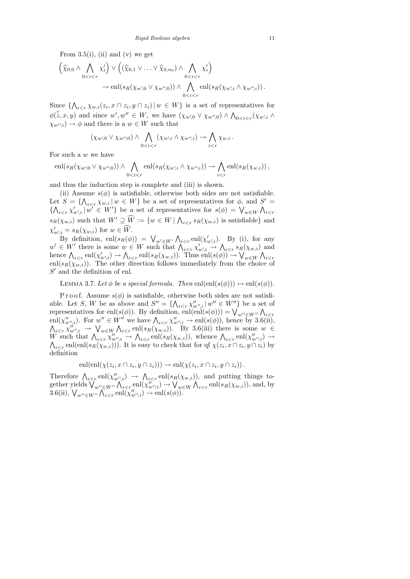From  $3.5(i)$ , (ii) and (v) we get

$$
\left(\widehat{\chi}_{0,0} \wedge \bigwedge_{0 < i < r} \chi'_i\right) \vee \left((\widehat{\chi}_{0,1} \vee \ldots \vee \widehat{\chi}_{0,n_0}) \wedge \bigwedge_{0 < i < r} \chi'_i\right) \rightarrow \operatorname{enl}(s_R(\chi_{w',0} \vee \chi_{w'',0})) \wedge \bigwedge_{0 < i < r} \operatorname{enl}(s_R(\chi_{w',i} \wedge \chi_{w'',i})) .
$$

Since  $\{\bigwedge_{i \leq r} \chi_{w,i}(z_i, x \cap z_i, y \cap z_i) | w \in W\}$  is a set of representatives for  $\phi(z, x, y)$  and since  $w', w'' \in W$ , we have  $(\chi_{w',0} \vee \chi_{w'',0}) \wedge \bigwedge_{0 \leq i \leq r} (\chi_{w',i} \wedge$  $(\chi_{w''i}) \to \phi$  and there is a  $w \in W$  such that

$$
(\chi_{w',0} \vee \chi_{w'',0}) \wedge \bigwedge_{0
$$

For such a w we have

$$
\operatorname{enl}(s_R(\chi_{w',0} \vee \chi_{w'',0})) \wedge \bigwedge_{0 \le i \le r} \operatorname{enl}(s_R(\chi_{w',i} \wedge \chi_{w'',i})) \to \bigwedge_{i \le r} \operatorname{enl}(s_R(\chi_{w,i}))
$$

and thus the induction step is complete and (iii) is shown.

(ii) Assume  $s(\phi)$  is satisfiable, otherwise both sides are not satisfiable. Let  $S = \{\bigwedge_{i \leq r} \chi_{w,i} | w \in W\}$  be a set of representatives for  $\phi$ , and  $S' =$  $\{\bigwedge_{i\leq r}\chi'_{w',i}\,|\,w'\in W'\}$  be a set of representatives for  $s(\phi) = \bigvee_{w\in W}\bigwedge_{i\leq r}$  $s_R(\chi_{w,i})$  such that  $W' \supseteq \widehat{W} := \{w \in W \mid \bigwedge_{i \leq r} s_R(\chi_{w,i})\}$  is satisfiable and  $\chi'_{w',i} = s_R(\chi_{w,i})$  for  $w \in W$ .

By definition,  $\text{enl}(s_R(\phi)) = \bigvee_{w' \in W'} \bigwedge_{i \leq r} \text{enl}(\chi'_{w',i})$ . By (i), for any  $w' \in W'$  there is some  $w \in W$  such that  $\bigwedge_{i \leq r} \chi'_{w',i} \to \bigwedge_{i \leq r} s_R(\chi_{w,i})$  and hence  $\bigwedge_{i \leq r} \text{enl}(\chi'_{w',i}) \to \bigwedge_{i \leq r} \text{enl}(s_R(\chi_{w,i}))$ . Thus  $\text{enl}(s(\phi)) \to \bigvee_{w \in W} \bigwedge_{i \leq r}$ enl $(s_R(\chi_{w,i}))$ . The other direction follows immediately from the choice of  $S'$  and the definition of enl.

LEMMA 3.7. Let  $\phi$  be a special formula. Then enl(enl(s( $\phi$ ))  $\leftrightarrow$  enl(s( $\phi$ )).

P r o o f. Assume  $s(\phi)$  is satisfiable, otherwise both sides are not satisfiable. Let S, W be as above and  $S'' = \{ \bigwedge_{i \leq r} \chi''_{w'',i} \mid w'' \in W'' \}$  be a set of representatives for enl( $s(\phi)$ ). By definition, enl(enl( $s(\phi)$ )) =  $\bigvee_{w'' \in W''} \bigwedge_{i \leq r} \{ \bigvee_{w'',i} w'' \in W'' \text{ we have } \bigwedge_{i \leq r} \chi''_{w'',i} \to \text{enl}(s(\phi))$ , hence by 3.6(ii),  $\bigwedge_{i \leq r} \chi''_{w'',i} \to \bigvee_{w \in W} \bigwedge_{i \leq r} \text{enl}(s_R(\chi_{w,i}))$ . By 3.6(iii) there is some  $w \in$ W such that  $\bigwedge_{i \leq r} \chi''_{w'',i} \to \bigwedge_{i \leq r} \text{enl}(s_R(\chi_{w,i}))$ , whence  $\bigwedge_{i \leq r} \text{enl}(\chi''_{w'',i})$ <br> $\bigwedge_{i \leq r} \text{enl}(\text{enl}(s_R(\chi_{w,i})))$ . It is easy to check that for qf  $\chi(z_i, x \cap z_i, y \cap z_i)$  $) \rightarrow$  $_{i enl(enl(s<sub>R</sub>( $\chi_{w,i}$ ))). It is easy to check that for qf  $\chi(z_i, x \cap z_i, y \cap z_i)$  by$ definition

$$
enl(enl(\chi(z_i, x \cap z_i, y \cap z_i))) \to enl(\chi(z_i, x \cap z_i, y \cap z_i)).
$$

Therefore  $\bigwedge_{i \leq r} \text{enl}(\chi''_{w'',i}) \to \bigwedge_{i \leq r} \text{enl}(s_R(\chi_{w,i}))$ , and putting things together yields  $\bigvee_{w'' \in W''} \bigwedge_{i \leq r} \text{enl}(\chi''_{w'',i}) \to \bigvee_{w \in W} \bigwedge_{i \leq r} \text{enl}(s_R(\chi_{w,i}))$ , and, by 3.6(ii),  $\bigvee_{w'' \in W''} \bigwedge_{i \leq r} \text{enl}(\chi''_{w'',i}) \to \text{enl}(s(\phi)).$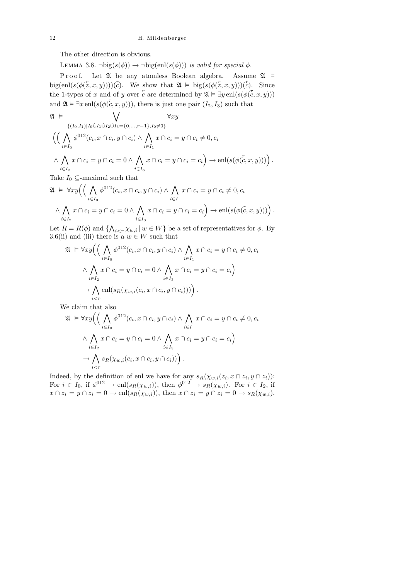The other direction is obvious.

LEMMA 3.8.  $\neg big(s(\phi)) \rightarrow \neg big(en(s(\phi)))$  is valid for special  $\phi$ .

P r o o f. Let  $\mathfrak A$  be any atomless Boolean algebra. Assume  $\mathfrak A$   $\models$ big(enl(s( $\phi(\bar{z}, x, y)$ )))(c). We show that  $\mathfrak{A} \models \text{big}(s(\phi(\bar{z}, x, y)))(\bar{c})$ . Since the 1-types of x and of y over c are determined by  $\mathfrak{A} \models \exists y \text{ enl}(s(\phi(\mathcal{C}, x, y)))$ and  $\mathfrak{A} \models \exists x \operatorname{enl}(s(\phi(\mathcal{C}, x, y))),$  there is just one pair  $(I_2, I_3)$  such that

$$
\mathfrak{A} \models \bigvee_{\{(I_0,I_1)|I_0 \cup I_1 \cup I_2 \cup I_3 = \{0,\ldots,r-1\}, I_0 \neq 0\}} \forall xy
$$
  

$$
\Big(\Big(\bigwedge_{i \in I_0} \phi^{012}(c_i, x \cap c_i, y \cap c_i) \wedge \bigwedge_{i \in I_1} x \cap c_i = y \cap c_i \neq 0, c_i
$$
  

$$
\wedge \bigwedge_{i \in I_2} x \cap c_i = y \cap c_i = 0 \wedge \bigwedge_{i \in I_3} x \cap c_i = y \cap c_i = c_i \Big) \rightarrow \text{enl}(s(\phi(\overline{c}, x, y)))\Big).
$$

Take  $I_0 \subseteq$ -maximal such that

$$
\mathfrak{A} \models \forall xy \Big( \Big( \bigwedge_{i \in I_0} \phi^{012}(c_i, x \cap c_i, y \cap c_i) \land \bigwedge_{i \in I_1} x \cap c_i = y \cap c_i \neq 0, c_i
$$
  

$$
\land \bigwedge_{i \in I_2} x \cap c_i = y \cap c_i = 0 \land \bigwedge_{i \in I_3} x \cap c_i = y \cap c_i = c_i \Big) \rightarrow \text{enl}(s(\phi(\mathcal{C}, x, y))) \Big).
$$

Let  $R = R(\phi)$  and  $\{\bigwedge_{i \leq r} \chi_{w,i} \mid w \in W\}$  be a set of representatives for  $\phi$ . By 3.6(ii) and (iii) there is a  $w \in W$  such that

$$
\mathfrak{A} \models \forall xy \Big( \Big( \bigwedge_{i \in I_0} \phi^{012}(c_i, x \cap c_i, y \cap c_i) \land \bigwedge_{i \in I_1} x \cap c_i = y \cap c_i \neq 0, c_i
$$
  

$$
\land \bigwedge_{i \in I_2} x \cap c_i = y \cap c_i = 0 \land \bigwedge_{i \in I_3} x \cap c_i = y \cap c_i = c_i \Big)
$$
  

$$
\rightarrow \bigwedge_{i \in I} \text{enl}(s_R(\chi_{w,i}(c_i, x \cap c_i, y \cap c_i))) \Big).
$$

We claim that also

$$
\mathfrak{A} \models \forall xy \Big( \Big( \bigwedge_{i \in I_0} \phi^{012}(c_i, x \cap c_i, y \cap c_i) \land \bigwedge_{i \in I_1} x \cap c_i = y \cap c_i \neq 0, c_i
$$
  

$$
\land \bigwedge_{i \in I_2} x \cap c_i = y \cap c_i = 0 \land \bigwedge_{i \in I_3} x \cap c_i = y \cap c_i = c_i \Big)
$$
  

$$
\rightarrow \bigwedge_{i < r} s_R(\chi_{w,i}(c_i, x \cap c_i, y \cap c_i)) \Big).
$$

Indeed, by the definition of enl we have for any  $s_R(\chi_{w,i}(z_i, x \cap z_i, y \cap z_i))$ : For  $i \in I_0$ , if  $\phi^{012} \to \text{enl}(s_R(\chi_{w,i}))$ , then  $\phi^{012} \to s_R(\chi_{w,i})$ . For  $i \in I_2$ , if  $x \cap z_i = y \cap z_i = 0 \longrightarrow \text{enl}(s_R(\chi_{w,i}))$ , then  $x \cap z_i = y \cap z_i = 0 \longrightarrow s_R(\chi_{w,i}).$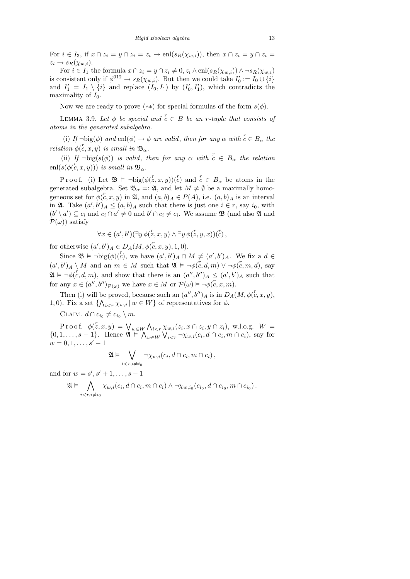For  $i \in I_3$ , if  $x \cap z_i = y \cap z_i = z_i \rightarrow \text{enl}(s_R(\chi_{w,i}))$ , then  $x \cap z_i = y \cap z_i = z_i$  $z_i \rightarrow s_R(\chi_{w,i}).$ 

For  $i \in I_1$  the formula  $x \cap z_i = y \cap z_i \neq 0, z_i \wedge enl(s_R(\chi_{w,i})) \wedge \neg s_R(\chi_{w,i})$ is consistent only if  $\phi^{012} \to s_R(\chi_{w,i})$ . But then we could take  $I'_0 := I_0 \cup \{i\}$ and  $I'_1 = I_1 \setminus \{i\}$  and replace  $(I_0, I_1)$  by  $(I'_0, I'_1)$ , which contradicts the maximality of  $I_0$ .

Now we are ready to prove  $(**)$  for special formulas of the form  $s(\phi)$ .

LEMMA 3.9. Let  $\phi$  be special and  $\overline{c} \in B$  be an r-tuple that consists of atoms in the generated subalgebra.

(i) If  $\neg \text{big}(\phi)$  and enl $(\phi) \to \phi$  are valid, then for any  $\alpha$  with  $c \in B_{\alpha}$  the relation  $\phi(c, x, y)$  is small in  $\mathfrak{B}_{\alpha}$ .

(ii) If  $\neg \text{big}(s(\phi))$  is valid, then for any  $\alpha$  with  $c \in B_\alpha$  the relation  $\operatorname{enl}(s(\phi(\overset{r}{c}, x, y)))$  is small in  $\mathfrak{B}_{\alpha}$ .

Proof. (i) Let  $\mathfrak{B} \models \neg \text{big}(\phi(z,x,y))(c^r)$  and  $c \in B_\alpha$  be atoms in the generated subalgebra. Set  $\mathfrak{B}_{\alpha} = \mathfrak{A}$ , and let  $M \neq \emptyset$  be a maximally homogeneous set for  $\phi(c, x, y)$  in  $\mathfrak{A}$ , and  $(a, b)_A \in P(A)$ , i.e.  $(a, b)_A$  is an interval in  $\mathfrak{A}$ . Take  $(a',b')_A \leq (a,b)_A$  such that there is just one  $i \in r$ , say  $i_0$ , with  $(b' \setminus a') \subseteq c_i$  and  $c_i \cap a' \neq 0$  and  $b' \cap c_i \neq c_i$ . We assume **B** (and also **2** and  $\mathcal{P}(\omega)$  satisfy

$$
\forall x \in (a', b')(\exists y \, \phi(\overset{r}{z}, x, y) \land \exists y \, \phi(\overset{r}{z}, y, x))(\overset{r}{c}),
$$

for otherwise  $(a', b')_A \in D_A(M, \phi(\mathcal{C}, x, y), 1, 0)$ .

Since  $\mathfrak{B} \models \neg \text{big}(\phi)(c)$ , we have  $(a',b')_A \cap M \neq (a',b')_A$ . We fix a  $d \in$  $(a',b')_A \setminus M$  and an  $m \in M$  such that  $\mathfrak{A} \models \neg \phi(c,d,m) \vee \neg \phi(c,m,d)$ , say  $\mathfrak{A} \models \neg \phi(c, d, m)$ , and show that there is an  $(a'', b'')_A \leq (a', b')_A$  such that for any  $x \in (a'', b'')_{\mathcal{P}(\omega)}$  we have  $x \in M$  or  $\mathcal{P}(\omega) \models \neg \phi(c, x, m)$ .

Then (i) will be proved, because such an  $(a'', b'')_A$  is in  $D_A(M, \phi(\mathcal{C}, x, y))$ , 1, 0). Fix a set  $\{\bigwedge_{i \leq r} \chi_{w,i} | w \in W\}$  of representatives for  $\phi$ .

CLAIM.  $d \cap c_{i_0} \neq c_{i_0} \setminus m$ .

Proof.  $\phi(z, x, y) = \bigvee_{w \in W} \bigwedge_{i \leq r} \chi_{w,i}(z_i, x \cap z_i, y \cap z_i), \text{ w.l.o.g. } W =$  $\{0, 1, \ldots, s-1\}$ . Hence  $\mathfrak{A} \models \bigwedge_{w \in W} \bigvee_{i \leq r} \neg \chi_{w,i}(c_i, d \cap c_i, m \cap c_i)$ , say for  $w = 0, 1, \ldots, s' - 1$ 

$$
\mathfrak{A} \vDash \bigvee_{i < r, i \neq i_0} \neg \chi_{w,i}(c_i, d \cap c_i, m \cap c_i),
$$

and for  $w = s', s' + 1, \ldots, s - 1$ 

$$
\mathfrak{A} \vDash \bigwedge_{i < r, i \neq i_0} \chi_{w,i}(c_i, d \cap c_i, m \cap c_i) \land \neg \chi_{w,i_0}(c_{i_0}, d \cap c_{i_0}, m \cap c_{i_0}).
$$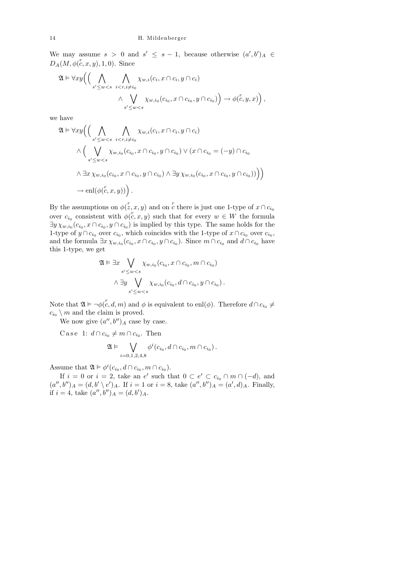We may assume  $s > 0$  and  $s' \leq s - 1$ , because otherwise  $(a', b')_A \in$  $D_A(M, \phi(\mathcal{k}, x, y), 1, 0)$ . Since

$$
\mathfrak{A} \vDash \forall xy \Big( \Big( \bigwedge_{s' \leq w < s} \bigwedge_{i < r, i \neq i_0} \chi_{w,i}(c_i, x \cap c_i, y \cap c_i) \Big) \to \phi(\zeta, y, x) \Big),
$$
\n
$$
\wedge \bigvee_{s' \leq w < s} \chi_{w,i_0}(c_{i_0}, x \cap c_{i_0}, y \cap c_{i_0}) \Big) \to \phi(\zeta, y, x) \Big),
$$

we have

$$
\mathfrak{A} \vDash \forall xy \Big( \Big( \bigwedge_{s' \leq w < s} \bigwedge_{i < r, i \neq i_0} \chi_{w,i}(c_i, x \cap c_i, y \cap c_i) \Big) \times \Big( \bigvee_{s' \leq w < s} \chi_{w,i_0}(c_{i_0}, x \cap c_{i_0}, y \cap c_{i_0}) \vee (x \cap c_{i_0} = (-y) \cap c_{i_0}) \Big)
$$
\n
$$
\wedge \exists x \, \chi_{w,i_0}(c_{i_0}, x \cap c_{i_0}, y \cap c_{i_0}) \wedge \exists y \, \chi_{w,i_0}(c_{i_0}, x \cap c_{i_0}, y \cap c_{i_0}) \Big) \Big)
$$
\n
$$
\rightarrow \text{enl}(\phi(\mathcal{C}, x, y)) \Big).
$$

By the assumptions on  $\phi(\bar{z}, x, y)$  and on  $\bar{c}$  there is just one 1-type of  $x \cap c_{i_0}$ over  $c_{i_0}$  consistent with  $\phi(\bar{c}, x, y)$  such that for every  $w \in W$  the formula  $\exists y \chi_{w,i_0}(c_{i_0}, x \cap c_{i_0}, y \cap c_{i_0})$  is implied by this type. The same holds for the 1-type of  $y \cap c_{i_0}$  over  $c_{i_0}$ , which coincides with the 1-type of  $x \cap c_{i_0}$  over  $c_{i_0}$ , and the formula  $\exists x \chi_{w,i_0}(c_{i_0}, x \cap c_{i_0}, y \cap c_{i_0})$ . Since  $m \cap c_{i_0}$  and  $d \cap c_{i_0}$  have this 1-type, we get

$$
\mathfrak{A} \vDash \exists x \bigvee_{s' \leq w < s} \chi_{w, i_0}(c_{i_0}, x \cap c_{i_0}, m \cap c_{i_0})
$$
\n
$$
\wedge \exists y \bigvee_{s' \leq w < s} \chi_{w, i_0}(c_{i_0}, d \cap c_{i_0}, y \cap c_{i_0}).
$$

Note that  $\mathfrak{A} \models \neg \phi(\bar{c}, d, m)$  and  $\phi$  is equivalent to enl $(\phi)$ . Therefore  $d \cap c_{i_0} \neq$  $c_{i_0} \setminus m$  and the claim is proved.

We now give  $(a'', b'')_A$  case by case.

Case 1:  $d \cap c_{i_0} \neq m \cap c_{i_0}$ . Then

$$
\mathfrak{A}\vDash \bigvee_{i=0,1,2,4,8} \phi^i(c_{i_0},d\cap c_{i_0},m\cap c_{i_0}).
$$

Assume that  $\mathfrak{A} \models \phi^i(c_{i_0}, d \cap c_{i_0}, m \cap c_{i_0}).$ 

If  $i = 0$  or  $i = 2$ , take an e' such that  $0 \subset e' \subset c_{i_0} \cap m \cap (-d)$ , and  $(a'', b'')_A = (d, b' \setminus e')_A$ . If  $i = 1$  or  $i = 8$ , take  $(a'', b'')_A = (a', d)_A$ . Finally, if  $i = 4$ , take  $(a'', b'')_A = (d, b')_A$ .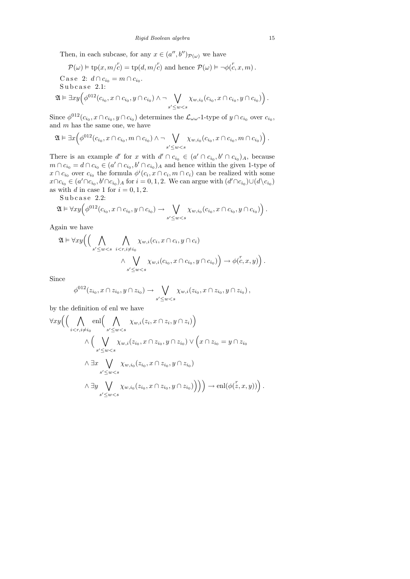Then, in each subcase, for any  $x \in (a'', b'')_{\mathcal{P}(\omega)}$  we have

$$
\mathcal{P}(\omega) \models \text{tp}(x, m/\overset{r}{c}) = \text{tp}(d, m/\overset{r}{c}) \text{ and hence } \mathcal{P}(\omega) \models \neg \phi(\overset{r}{c}, x, m).
$$

Case 2: 
$$
d \cap c_{i_0} = m \cap c_{i_0}
$$
.  
\nSubcase 2.1:  
\n $\mathfrak{A} \models \exists xy \Big( \phi^{012}(c_{i_0}, x \cap c_{i_0}, y \cap c_{i_0}) \land \neg \bigvee_{s' \leq w < s} \chi_{w,i_0}(c_{i_0}, x \cap c_{i_0}, y \cap c_{i_0}) \Big)$ .

Since  $\phi^{012}(c_{i_0}, x \cap c_{i_0}, y \cap c_{i_0})$  determines the  $\mathcal{L}_{\omega \omega}$ -1-type of  $y \cap c_{i_0}$  over  $c_{i_0}$ , and  $m$  has the same one, we have

$$
\mathfrak{A} \vDash \exists x \Big( \phi^{012}(c_{i_0}, x \cap c_{i_0}, m \cap c_{i_0}) \wedge \neg \bigvee_{s' \leq w < s} \chi_{w, i_0}(c_{i_0}, x \cap c_{i_0}, m \cap c_{i_0}) \Big).
$$

There is an example d' for x with  $d' \cap c_{i_0} \in (a' \cap c_{i_0}, b' \cap c_{i_0})_A$ , because  $m \cap c_{i_0} = d \cap c_{i_0} \in (a' \cap c_{i_0}, b' \cap c_{i_0})_A$  and hence within the given 1-type of  $x \cap c_{i_0}$  over  $c_{i_0}$  the formula  $\phi^i(c_i, x \cap c_i, m \cap c_i)$  can be realized with some  $x \cap c_{i_0} \in (a' \cap c_{i_0}, b' \cap c_{i_0})_A$  for  $i = 0, 1, 2$ . We can argue with  $(d' \cap c_{i_0}) \cup (d \backslash c_{i_0})$ as with d in case 1 for  $i = 0, 1, 2$ .

Subcase 2.2:

$$
\mathfrak{A} \vDash \forall xy \Big( \phi^{012}(c_{i_0}, x \cap c_{i_0}, y \cap c_{i_0}) \rightarrow \bigvee_{s' \leq w < s} \chi_{w, i_0}(c_{i_0}, x \cap c_{i_0}, y \cap c_{i_0}) \Big).
$$

Again we have

$$
\mathfrak{A} \vDash \forall xy \Big( \Big( \bigwedge_{s' \leq w < s} \bigwedge_{i < r, i \neq i_0} \chi_{w,i}(c_i, x \cap c_i, y \cap c_i) \Big) \to \phi(\tilde{c}, x, y) \Big) \, .
$$
\n
$$
\wedge \bigvee_{s' \leq w < s} \chi_{w,i}(c_{i_0}, x \cap c_{i_0}, y \cap c_{i_0}) \Big) \to \phi(\tilde{c}, x, y) \Big) \, .
$$

Since

$$
\phi^{012}(z_{i_0}, x \cap z_{i_0}, y \cap z_{i_0}) \to \bigvee_{s' \leq w < s} \chi_{w,i}(z_{i_0}, x \cap z_{i_0}, y \cap z_{i_0}),
$$

by the definition of enl we have

$$
\forall xy \Big( \Big( \bigwedge_{i < r, i \neq i_0} \text{ell} \Big( \bigwedge_{s' \leq w < s} \chi_{w,i}(z_i, x \cap z_i, y \cap z_i) \Big) \n\wedge \Big( \bigvee_{s' \leq w < s} \chi_{w,i}(z_{i_0}, x \cap z_{i_0}, y \cap z_{i_0}) \vee \Big( x \cap z_{i_0} = y \cap z_{i_0} \n\wedge \exists x \bigvee_{s' \leq w < s} \chi_{w,i_0}(z_{i_0}, x \cap z_{i_0}, y \cap z_{i_0}) \n\wedge \exists y \bigvee_{s' \leq w < s} \chi_{w,i_0}(z_{i_0}, x \cap z_{i_0}, y \cap z_{i_0}) \Big) \Big) \Big) \rightarrow \text{ell}(\phi(\tilde{z}, x, y)) \Big).
$$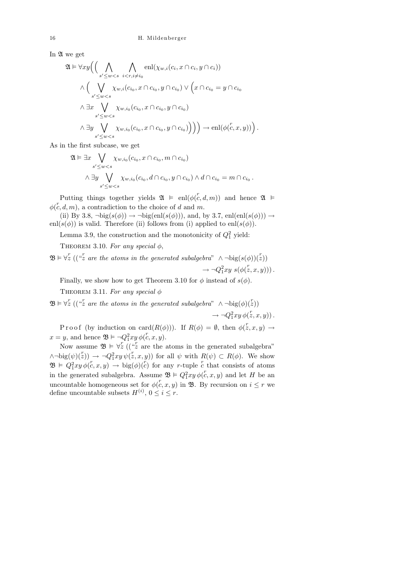In  $\mathfrak A$  we get

$$
\mathfrak{A} \vDash \forall xy \Big( \Big( \bigwedge_{s' \leq w < s} \bigwedge_{i < r, i \neq i_0} \operatorname{enl}(\chi_{w,i}(c_i, x \cap c_i, y \cap c_i))
$$
\n
$$
\wedge \Big( \bigvee_{s' \leq w < s} \chi_{w,i}(c_{i_0}, x \cap c_{i_0}, y \cap c_{i_0}) \vee \Big( x \cap c_{i_0} = y \cap c_{i_0}
$$
\n
$$
\wedge \exists x \bigvee_{s' \leq w < s} \chi_{w,i_0}(c_{i_0}, x \cap c_{i_0}, y \cap c_{i_0})
$$
\n
$$
\wedge \exists y \bigvee_{s' \leq w < s} \chi_{w,i_0}(c_{i_0}, x \cap c_{i_0}, y \cap c_{i_0}) \Big) \Big) \to \operatorname{enl}(\phi(\mathcal{C}, x, y)) \Big).
$$

As in the first subcase, we get

$$
\mathfrak{A} \vDash \exists x \bigvee_{s' \leq w < s} \chi_{w,i_0}(c_{i_0}, x \cap c_{i_0}, m \cap c_{i_0})
$$
\n
$$
\wedge \exists y \bigvee_{s' \leq w < s} \chi_{w,i_0}(c_{i_0}, d \cap c_{i_0}, y \cap c_{i_0}) \wedge d \cap c_{i_0} = m \cap c_{i_0}.
$$

Putting things together yields  $\mathfrak{A} \vDash \text{enl}(\phi(\mathcal{C}, d, m))$  and hence  $\mathfrak{A} \vDash$  $\phi(c, d, m)$ , a contradiction to the choice of d and m.

(ii) By 3.8,  $\neg big(s(\phi)) \rightarrow \neg big(en(s(\phi))),$  and, by 3.7, enl(enl(s( $\phi$ )))  $\rightarrow$ enl $(s(\phi))$  is valid. Therefore (ii) follows from (i) applied to enl $(s(\phi))$ .

Lemma 3.9, the construction and the monotonicity of  $Q_1^2$  yield:

THEOREM 3.10. For any special  $\phi$ ,

 $\mathfrak{B} \models \forall z \; ((\text{``z are the atoms in the generated subalgebra'' } \land \neg \text{big}(s(\phi))(z))$  $\rightarrow \neg Q_1^2 xy \ s(\phi(z,x,y))$ .

Finally, we show how to get Theorem 3.10 for  $\phi$  instead of  $s(\phi)$ .

THEOREM 3.11. For any special  $\phi$ 

 $\mathfrak{B} \models \forall z \; ((\text{``z are the atoms in the generated subalgebra'' } \land \neg \text{big}(\phi)(z))$ 

 $\rightarrow \neg Q_1^2 xy \, \phi(\overset{r}{z}, x, y)$ .

P r o o f (by induction on card $(R(\phi))$ ). If  $R(\phi) = \emptyset$ , then  $\phi(\overline{z}, x, y) \to$  $x = y$ , and hence  $\mathfrak{B} \models \neg Q_1^2 xy \, \phi(c, x, y)$ .

Now assume  $\mathfrak{B} \models \forall z \left( \left( \begin{array}{c} x \ z \end{array} \right)$  are the atoms in the generated subalgebra"  $\wedge \neg \text{big}(\psi)(\zeta) \rightarrow \neg Q_1^2 xy \,\psi(\zeta, x, y)$  for all  $\psi$  with  $R(\psi) \subset R(\phi)$ . We show  $\mathfrak{B} \in Q_1^2 xy \phi(\mathcal{C}, x, y) \to \text{big}(\phi)(\mathcal{C})$  for any r-tuple  $\mathcal{C}$  that consists of atoms in the generated subalgebra. Assume  $\mathfrak{B} \models Q_1^2 xy \phi(c, x, y)$  and let H be an uncountable homogeneous set for  $\phi(c, x, y)$  in **B**. By recursion on  $i \leq r$  we define uncountable subsets  $H^{(i)}$ ,  $0 \leq i \leq r$ .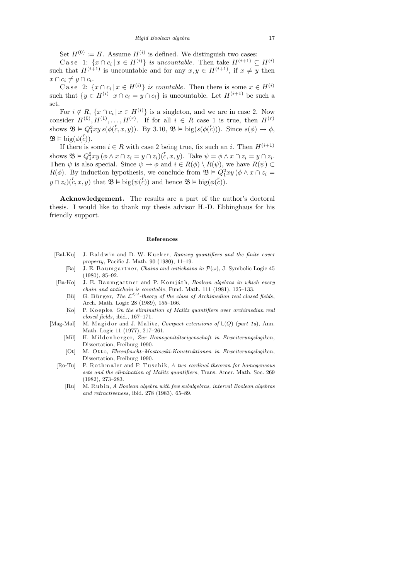Set  $H^{(0)} := H$ . Assume  $H^{(i)}$  is defined. We distinguish two cases:

Case 1:  $\{x \cap c_i \mid x \in H^{(i)}\}$  is uncountable. Then take  $H^{(i+1)} \subseteq H^{(i)}$ such that  $H^{(i+1)}$  is uncountable and for any  $x, y \in H^{(i+1)}$ , if  $x \neq y$  then  $x \cap c_i \neq y \cap c_i.$ 

Case 2:  $\{x \cap c_i | x \in H^{(i)}\}$  is countable. Then there is some  $x \in H^{(i)}$ such that  $\{y \in H^{(i)} | x \cap c_i = y \cap c_i\}$  is uncountable. Let  $H^{(i+1)}$  be such a set.

For  $i \notin R$ ,  $\{x \cap c_i \mid x \in H^{(i)}\}$  is a singleton, and we are in case 2. Now consider  $H^{(0)}, H^{(1)}, \ldots, H^{(r)}$ . If for all  $i \in R$  case 1 is true, then  $H^{(r)}$ shows  $\mathfrak{B} \models Q_1^2 xy \, s(\phi(c, x, y))$ . By 3.10,  $\mathfrak{B} \models \text{big}(s(\phi(c)))$ . Since  $s(\phi) \rightarrow \phi$ ,  $\mathfrak{B} \models \text{big}(\phi(\overset{r}{c})).$ 

If there is some  $i \in R$  with case 2 being true, fix such an i. Then  $H^{(i+1)}$ shows  $\mathfrak{B} \vDash Q_1^2 xy (\phi \wedge x \cap z_i = y \cap z_i)(\overset{r}{c}, x, y)$ . Take  $\psi = \phi \wedge x \cap z_i = y \cap z_i$ . Then  $\psi$  is also special. Since  $\psi \to \phi$  and  $i \in R(\phi) \setminus R(\psi)$ , we have  $R(\psi) \subset$  $R(\phi)$ . By induction hypothesis, we conclude from  $\mathfrak{B} \models Q_1^2 xy (\phi \wedge x \cap z_i =$  $y \cap z_i$   $(c, x, y)$  that  $\mathfrak{B} \models \text{big}(\psi(c))$  and hence  $\mathfrak{B} \models \text{big}(\phi(c)).$ 

Acknowledgement. The results are a part of the author's doctoral thesis. I would like to thank my thesis advisor H.-D. Ebbinghaus for his friendly support.

#### **References**

- [Bal-Ku] J. B ald win and D. W. Kueker, *Ramsey quantifiers and the finite cover property*, Pacific J. Math. 90 (1980), 11–19.
	- [Ba] J. E. B a umg artner, *Chains and antichains in*  $\mathcal{P}(\omega)$ , J. Symbolic Logic 45 (1980), 85–92.
- [Ba-Ko] J. E. Baumgartner and P. Komjáth, *Boolean algebras in which every chain and antichain is countable*, Fund. Math. 111 (1981), 125–133.
	- [Bü] G. Bürger, *The*  $\mathcal{L}^{\leq \omega}$ -theory of the class of Archimedian real closed fields, Arch. Math. Logic 28 (1989), 155–166.
	- [Ko] P. Koepke, *On the elimination of Malitz quantifiers over archimedian real closed fields*, ibid., 167–171.
- [Mag-Mal] M. Magidor and J. Malitz, *Compact extensions of*  $L(Q)$  (*part 1a*), Ann. Math. Logic 11 (1977), 217–261.
	- [Mil] H. Mildenberger, *Zur Homogenitätseigenschaft in Erweiterungslogiken*, Dissertation, Freiburg 1990.
	- [Ot] M. O t t o, *Ehrenfeucht–Mostowski-Konstruktionen in Erweiterungslogiken*, Dissertation, Freiburg 1990.
	- [Ro-Tu] P. Rothmaler and P. Tuschik, *A two cardinal theorem for homogeneous sets and the elimination of Malitz quantifiers*, Trans. Amer. Math. Soc. 269 (1982), 273–283.
		- [Ru] M. R u bi n, *A Boolean algebra with few subalgebras, interval Boolean algebras and retractiveness*, ibid. 278 (1983), 65–89.